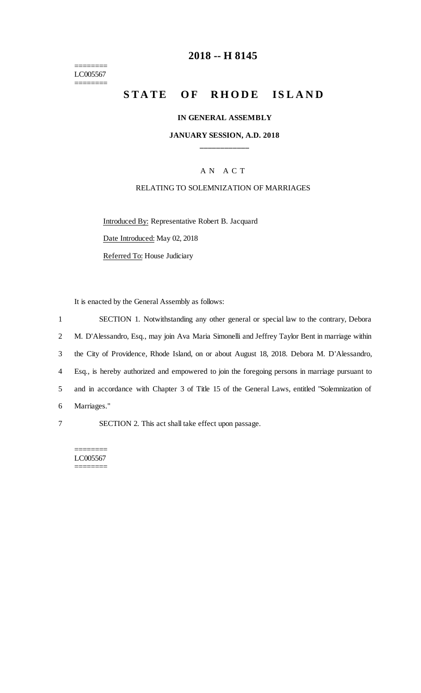======== LC005567 ========

# **2018 -- H 8145**

# STATE OF RHODE ISLAND

#### **IN GENERAL ASSEMBLY**

#### **JANUARY SESSION, A.D. 2018 \_\_\_\_\_\_\_\_\_\_\_\_**

### A N A C T

#### RELATING TO SOLEMNIZATION OF MARRIAGES

Introduced By: Representative Robert B. Jacquard

Date Introduced: May 02, 2018

Referred To: House Judiciary

It is enacted by the General Assembly as follows:

|                | SECTION 1. Notwithstanding any other general or special law to the contrary, Debora            |
|----------------|------------------------------------------------------------------------------------------------|
| $\overline{2}$ | M. D'Alessandro, Esq., may join Ava Maria Simonelli and Jeffrey Taylor Bent in marriage within |
| 3              | the City of Providence, Rhode Island, on or about August 18, 2018. Debora M. D'Alessandro,     |
| 4              | Esq., is hereby authorized and empowered to join the foregoing persons in marriage pursuant to |
| 5              | and in accordance with Chapter 3 of Title 15 of the General Laws, entitled "Solemnization of   |
| 6              | Marriages."                                                                                    |

7 SECTION 2. This act shall take effect upon passage.

======== LC005567 ========